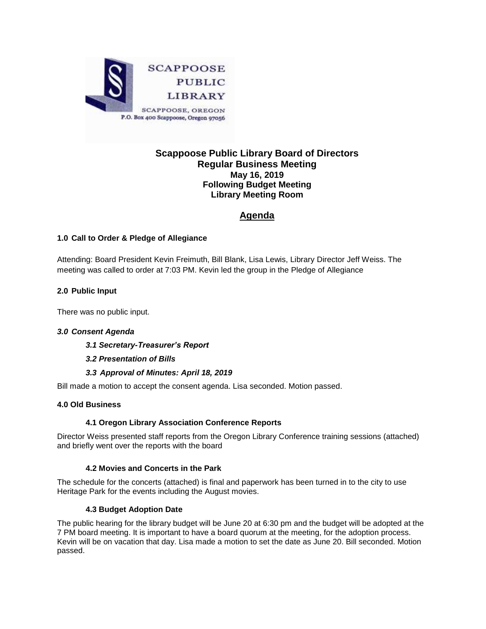

## **Scappoose Public Library Board of Directors Regular Business Meeting May 16, 2019 Following Budget Meeting Library Meeting Room**

# **Agenda**

## **1.0 Call to Order & Pledge of Allegiance**

Attending: Board President Kevin Freimuth, Bill Blank, Lisa Lewis, Library Director Jeff Weiss. The meeting was called to order at 7:03 PM. Kevin led the group in the Pledge of Allegiance

## **2.0 Public Input**

There was no public input.

## *3.0 Consent Agenda*

*3.1 Secretary-Treasurer's Report*

## *3.2 Presentation of Bills*

## *3.3 Approval of Minutes: April 18, 2019*

Bill made a motion to accept the consent agenda. Lisa seconded. Motion passed.

## **4.0 Old Business**

## **4.1 Oregon Library Association Conference Reports**

Director Weiss presented staff reports from the Oregon Library Conference training sessions (attached) and briefly went over the reports with the board

#### **4.2 Movies and Concerts in the Park**

The schedule for the concerts (attached) is final and paperwork has been turned in to the city to use Heritage Park for the events including the August movies.

#### **4.3 Budget Adoption Date**

The public hearing for the library budget will be June 20 at 6:30 pm and the budget will be adopted at the 7 PM board meeting. It is important to have a board quorum at the meeting, for the adoption process. Kevin will be on vacation that day. Lisa made a motion to set the date as June 20. Bill seconded. Motion passed.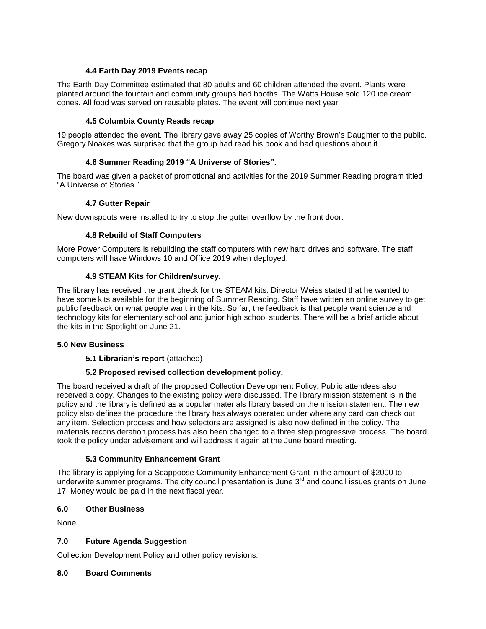#### **4.4 Earth Day 2019 Events recap**

The Earth Day Committee estimated that 80 adults and 60 children attended the event. Plants were planted around the fountain and community groups had booths. The Watts House sold 120 ice cream cones. All food was served on reusable plates. The event will continue next year

#### **4.5 Columbia County Reads recap**

19 people attended the event. The library gave away 25 copies of Worthy Brown's Daughter to the public. Gregory Noakes was surprised that the group had read his book and had questions about it.

## **4.6 Summer Reading 2019 "A Universe of Stories".**

The board was given a packet of promotional and activities for the 2019 Summer Reading program titled "A Universe of Stories."

#### **4.7 Gutter Repair**

New downspouts were installed to try to stop the gutter overflow by the front door.

#### **4.8 Rebuild of Staff Computers**

More Power Computers is rebuilding the staff computers with new hard drives and software. The staff computers will have Windows 10 and Office 2019 when deployed.

#### **4.9 STEAM Kits for Children/survey.**

The library has received the grant check for the STEAM kits. Director Weiss stated that he wanted to have some kits available for the beginning of Summer Reading. Staff have written an online survey to get public feedback on what people want in the kits. So far, the feedback is that people want science and technology kits for elementary school and junior high school students. There will be a brief article about the kits in the Spotlight on June 21.

#### **5.0 New Business**

## **5.1 Librarian's report** (attached)

## **5.2 Proposed revised collection development policy.**

The board received a draft of the proposed Collection Development Policy. Public attendees also received a copy. Changes to the existing policy were discussed. The library mission statement is in the policy and the library is defined as a popular materials library based on the mission statement. The new policy also defines the procedure the library has always operated under where any card can check out any item. Selection process and how selectors are assigned is also now defined in the policy. The materials reconsideration process has also been changed to a three step progressive process. The board took the policy under advisement and will address it again at the June board meeting.

## **5.3 Community Enhancement Grant**

The library is applying for a Scappoose Community Enhancement Grant in the amount of \$2000 to underwrite summer programs. The city council presentation is June  $3<sup>rd</sup>$  and council issues grants on June 17. Money would be paid in the next fiscal year.

## **6.0 Other Business**

None

## **7.0 Future Agenda Suggestion**

Collection Development Policy and other policy revisions.

#### **8.0 Board Comments**